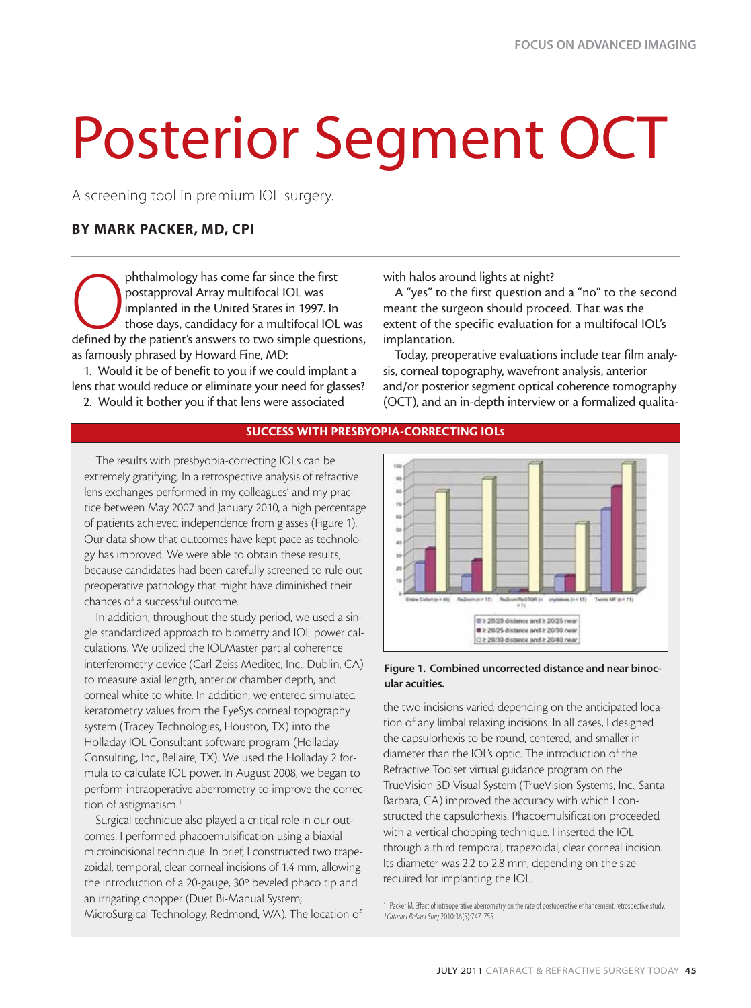# Posterior Segment OCT

A screening tool in premium IOL surgery.

## **BY MARK PACKER, MD, CPI**

phthalmology has come far since the first<br>postapproval Array multifocal IOL was<br>implanted in the United States in 1997. In<br>defined by the patient's answers to two simple questions, postapproval Array multifocal IOL was implanted in the United States in 1997. In those days, candidacy for a multifocal IOL was as famously phrased by Howard Fine, MD:

1. Would it be of benefit to you if we could implant a lens that would reduce or eliminate your need for glasses?

2. Would it bother you if that lens were associated

with halos around lights at night?

A "yes" to the first question and a "no" to the second meant the surgeon should proceed. That was the extent of the specific evaluation for a multifocal IOL's implantation.

Today, preoperative evaluations include tear film analysis, corneal topography, wavefront analysis, anterior and/or posterior segment optical coherence tomography (OCT), and an in-depth interview or a formalized qualita-



#### **Figure 1. Combined uncorrected distance and near binocular acuities.**

the two incisions varied depending on the anticipated location of any limbal relaxing incisions. In all cases, I designed the capsulorhexis to be round, centered, and smaller in diameter than the IOL's optic. The introduction of the Refractive Toolset virtual guidance program on the TrueVision 3D Visual System (TrueVision Systems, Inc., Santa Barbara, CA) improved the accuracy with which I constructed the capsulorhexis. Phacoemulsification proceeded with a vertical chopping technique. I inserted the IOL through a third temporal, trapezoidal, clear corneal incision. Its diameter was 2.2 to 2.8 mm, depending on the size required for implanting the IOL.

1. Packer M.Effect of intraoperative aberrometry on the rate of postoperative enhancement:retrospective study. J Cataract Refract Surg.2010;36(5):747-755.

## **SUCCESS WITH PRESBYOPIA-CORRECTING IOLS**

The results with presbyopia-correcting IOLs can be extremely gratifying. In a retrospective analysis of refractive lens exchanges performed in my colleagues' and my practice between May 2007 and January 2010, a high percentage of patients achieved independence from glasses (Figure 1). Our data show that outcomes have kept pace as technology has improved. We were able to obtain these results, because candidates had been carefully screened to rule out preoperative pathology that might have diminished their chances of a successful outcome.

In addition, throughout the study period, we used a single standardized approach to biometry and IOL power calculations. We utilized the IOLMaster partial coherence interferometry device (Carl Zeiss Meditec, Inc., Dublin, CA) to measure axial length, anterior chamber depth, and corneal white to white. In addition, we entered simulated keratometry values from the EyeSys corneal topography system (Tracey Technologies, Houston, TX) into the Holladay IOL Consultant software program (Holladay Consulting, Inc., Bellaire, TX). We used the Holladay 2 formula to calculate IOL power. In August 2008, we began to perform intraoperative aberrometry to improve the correction of astigmatism.<sup>1</sup>

Surgical technique also played a critical role in our outcomes. I performed phacoemulsification using a biaxial microincisional technique. In brief, I constructed two trapezoidal, temporal, clear corneal incisions of 1.4 mm, allowing the introduction of a 20-gauge, 30º beveled phaco tip and an irrigating chopper (Duet Bi-Manual System; MicroSurgical Technology, Redmond, WA). The location of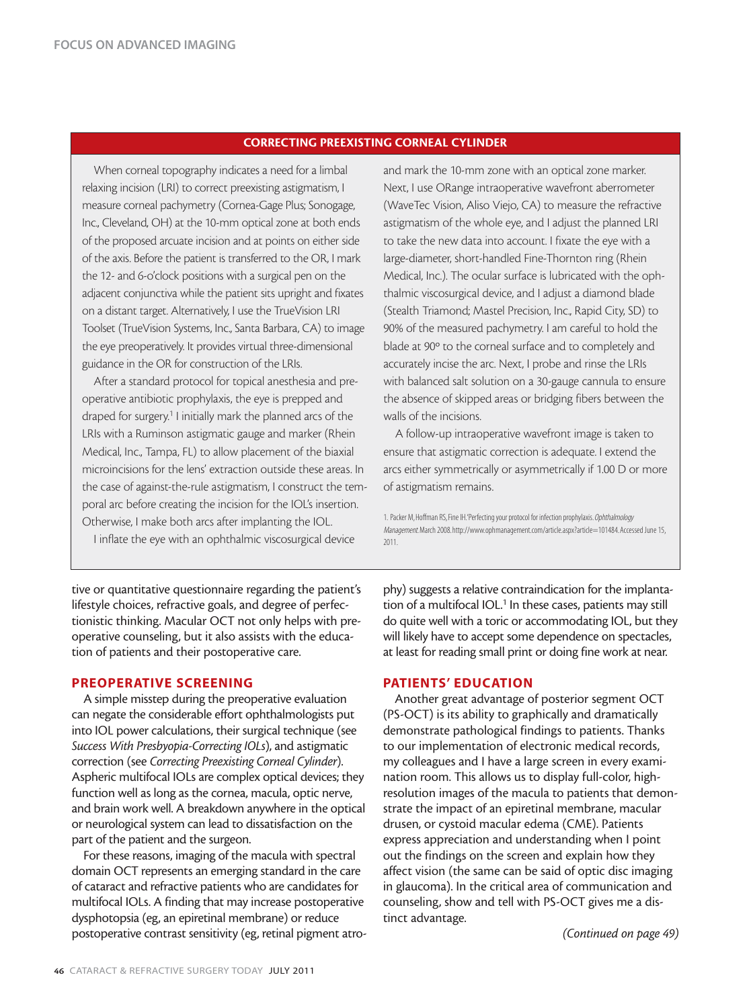## **CORRECTING PREEXISTING CORNEAL CYLINDER**

When corneal topography indicates a need for a limbal relaxing incision (LRI) to correct preexisting astigmatism, I measure corneal pachymetry (Cornea-Gage Plus; Sonogage, Inc., Cleveland, OH) at the 10-mm optical zone at both ends of the proposed arcuate incision and at points on either side of the axis. Before the patient is transferred to the OR, I mark the 12- and 6-o'clock positions with a surgical pen on the adjacent conjunctiva while the patient sits upright and fixates on a distant target. Alternatively, I use the TrueVision LRI Toolset (TrueVision Systems, Inc., Santa Barbara, CA) to image the eye preoperatively. It provides virtual three-dimensional guidance in the OR for construction of the LRIs.

After a standard protocol for topical anesthesia and preoperative antibiotic prophylaxis, the eye is prepped and draped for surgery.<sup>1</sup> I initially mark the planned arcs of the LRIs with a Ruminson astigmatic gauge and marker (Rhein Medical, Inc., Tampa, FL) to allow placement of the biaxial microincisions for the lens' extraction outside these areas. In the case of against-the-rule astigmatism, I construct the temporal arc before creating the incision for the IOL's insertion. Otherwise, I make both arcs after implanting the IOL.

I inflate the eye with an ophthalmic viscosurgical device

and mark the 10-mm zone with an optical zone marker. Next, I use ORange intraoperative wavefront aberrometer (WaveTec Vision, Aliso Viejo, CA) to measure the refractive astigmatism of the whole eye, and I adjust the planned LRI to take the new data into account. I fixate the eye with a large-diameter, short-handled Fine-Thornton ring (Rhein Medical, Inc.). The ocular surface is lubricated with the ophthalmic viscosurgical device, and I adjust a diamond blade (Stealth Triamond; Mastel Precision, Inc., Rapid City, SD) to 90% of the measured pachymetry. I am careful to hold the blade at 90º to the corneal surface and to completely and accurately incise the arc. Next, I probe and rinse the LRIs with balanced salt solution on a 30-gauge cannula to ensure the absence of skipped areas or bridging fibers between the walls of the incisions.

A follow-up intraoperative wavefront image is taken to ensure that astigmatic correction is adequate. I extend the arcs either symmetrically or asymmetrically if 1.00 D or more of astigmatism remains.

1. Packer M, Hoffman RS, Fine IH.'Perfecting your protocol for infection prophylaxis. Ophthalmology Management. March 2008. http://www.ophmanagement.com/article.aspx?article=101484. Accessed June 15, 2011.

tive or quantitative questionnaire regarding the patient's lifestyle choices, refractive goals, and degree of perfectionistic thinking. Macular OCT not only helps with preoperative counseling, but it also assists with the education of patients and their postoperative care.

#### **PREOPERATIVE SCREENING**

A simple misstep during the preoperative evaluation can negate the considerable effort ophthalmologists put into IOL power calculations, their surgical technique (see *Success With Presbyopia-Correcting IOLs*), and astigmatic correction (see *Correcting Preexisting Corneal Cylinder*). Aspheric multifocal IOLs are complex optical devices; they function well as long as the cornea, macula, optic nerve, and brain work well. A breakdown anywhere in the optical or neurological system can lead to dissatisfaction on the part of the patient and the surgeon.

For these reasons, imaging of the macula with spectral domain OCT represents an emerging standard in the care of cataract and refractive patients who are candidates for multifocal IOLs. A finding that may increase postoperative dysphotopsia (eg, an epiretinal membrane) or reduce postoperative contrast sensitivity (eg, retinal pigment atrophy) suggests a relative contraindication for the implantation of a multifocal IOL.<sup>1</sup> In these cases, patients may still do quite well with a toric or accommodating IOL, but they will likely have to accept some dependence on spectacles, at least for reading small print or doing fine work at near.

## **PATIENTS' EDUCATION**

Another great advantage of posterior segment OCT (PS-OCT) is its ability to graphically and dramatically demonstrate pathological findings to patients. Thanks to our implementation of electronic medical records, my colleagues and I have a large screen in every examination room. This allows us to display full-color, highresolution images of the macula to patients that demonstrate the impact of an epiretinal membrane, macular drusen, or cystoid macular edema (CME). Patients express appreciation and understanding when I point out the findings on the screen and explain how they affect vision (the same can be said of optic disc imaging in glaucoma). In the critical area of communication and counseling, show and tell with PS-OCT gives me a distinct advantage.

*(Continued on page 49)*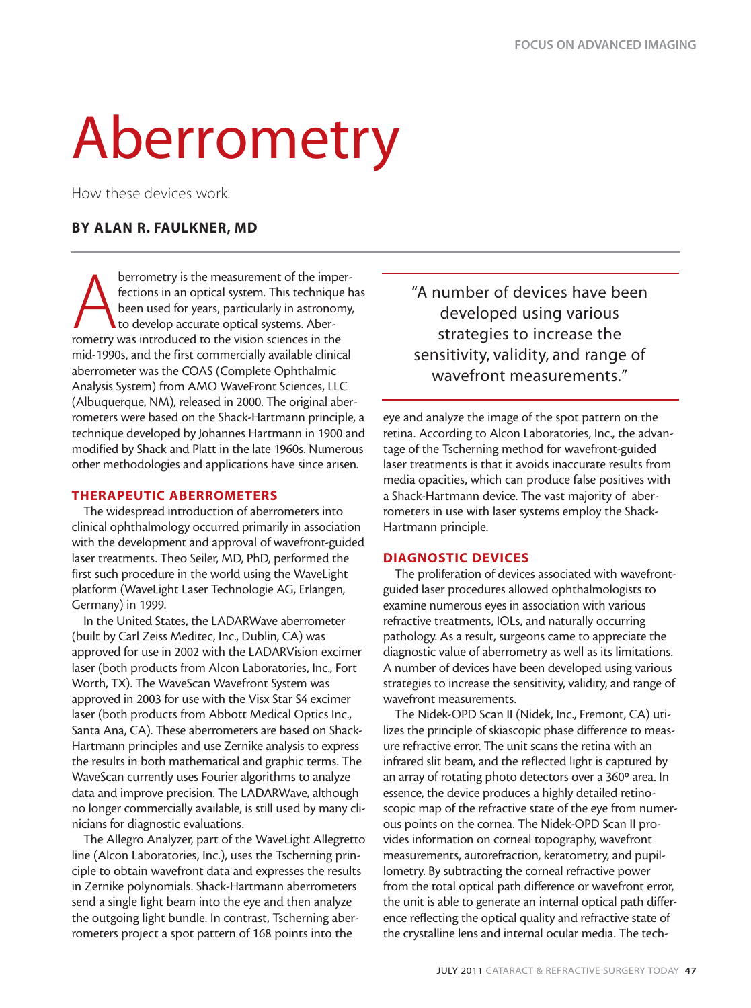## Aberrometry

How these devices work.

## **BY ALAN R. FAULKNER, MD**

**A**<br>been used for years, particularly in astronometry was introduced to the vision sciences in the<br>rometry was introduced to the vision sciences in the berrometry is the measurement of the imperfections in an optical system. This technique has been used for years, particularly in astronomy, to develop accurate optical systems. Abermid-1990s, and the first commercially available clinical aberrometer was the COAS (Complete Ophthalmic Analysis System) from AMO WaveFront Sciences, LLC (Albuquerque, NM), released in 2000. The original aberrometers were based on the Shack-Hartmann principle, a technique developed by Johannes Hartmann in 1900 and modified by Shack and Platt in the late 1960s. Numerous other methodologies and applications have since arisen.

## **THERAPEUTIC ABERROMETERS**

The widespread introduction of aberrometers into clinical ophthalmology occurred primarily in association with the development and approval of wavefront-guided laser treatments. Theo Seiler, MD, PhD, performed the first such procedure in the world using the WaveLight platform (WaveLight Laser Technologie AG, Erlangen, Germany) in 1999.

In the United States, the LADARWave aberrometer (built by Carl Zeiss Meditec, Inc., Dublin, CA) was approved for use in 2002 with the LADARVision excimer laser (both products from Alcon Laboratories, Inc., Fort Worth, TX). The WaveScan Wavefront System was approved in 2003 for use with the Visx Star S4 excimer laser (both products from Abbott Medical Optics Inc., Santa Ana, CA). These aberrometers are based on Shack-Hartmann principles and use Zernike analysis to express the results in both mathematical and graphic terms. The WaveScan currently uses Fourier algorithms to analyze data and improve precision. The LADARWave, although no longer commercially available, is still used by many clinicians for diagnostic evaluations.

The Allegro Analyzer, part of the WaveLight Allegretto line (Alcon Laboratories, Inc.), uses the Tscherning principle to obtain wavefront data and expresses the results in Zernike polynomials. Shack-Hartmann aberrometers send a single light beam into the eye and then analyze the outgoing light bundle. In contrast, Tscherning aberrometers project a spot pattern of 168 points into the

"A number of devices have been developed using various strategies to increase the sensitivity, validity, and range of wavefront measurements."

eye and analyze the image of the spot pattern on the retina. According to Alcon Laboratories, Inc., the advantage of the Tscherning method for wavefront-guided laser treatments is that it avoids inaccurate results from media opacities, which can produce false positives with a Shack-Hartmann device. The vast majority of aberrometers in use with laser systems employ the Shack-Hartmann principle.

## **DIAGNOSTIC DEVICES**

The proliferation of devices associated with wavefrontguided laser procedures allowed ophthalmologists to examine numerous eyes in association with various refractive treatments, IOLs, and naturally occurring pathology. As a result, surgeons came to appreciate the diagnostic value of aberrometry as well as its limitations. A number of devices have been developed using various strategies to increase the sensitivity, validity, and range of wavefront measurements.

The Nidek-OPD Scan II (Nidek, Inc., Fremont, CA) utilizes the principle of skiascopic phase difference to measure refractive error. The unit scans the retina with an infrared slit beam, and the reflected light is captured by an array of rotating photo detectors over a 360° area. In essence, the device produces a highly detailed retinoscopic map of the refractive state of the eye from numerous points on the cornea. The Nidek-OPD Scan II provides information on corneal topography, wavefront measurements, autorefraction, keratometry, and pupillometry. By subtracting the corneal refractive power from the total optical path difference or wavefront error, the unit is able to generate an internal optical path difference reflecting the optical quality and refractive state of the crystalline lens and internal ocular media. The tech-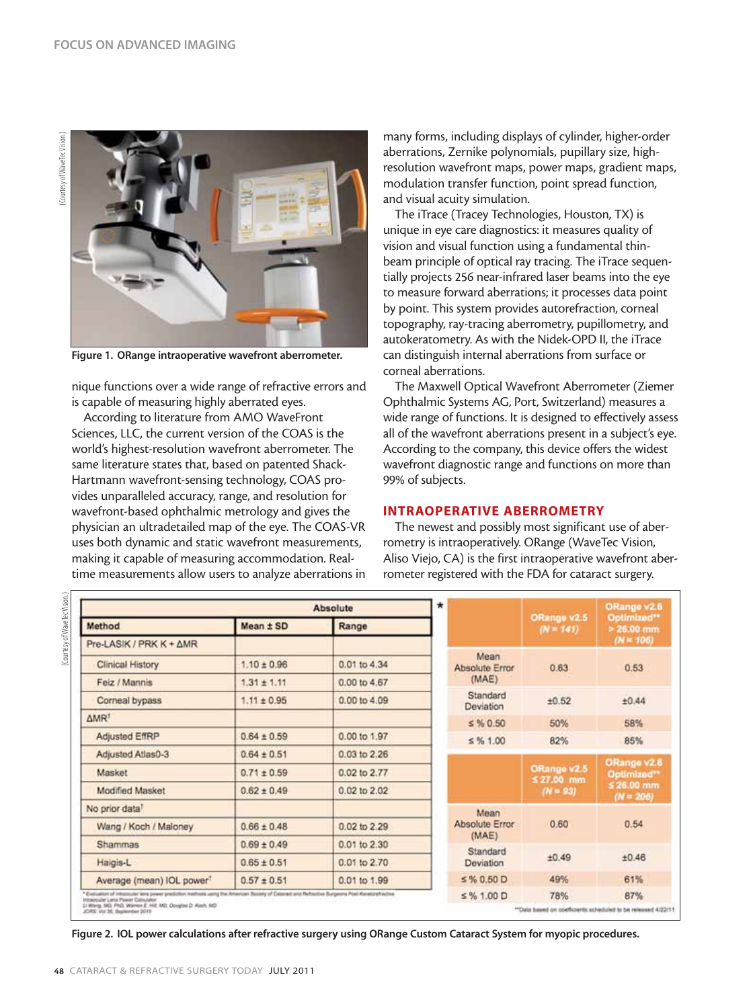

**Figure 1. ORange intraoperative wavefront aberrometer.**

nique functions over a wide range of refractive errors and is capable of measuring highly aberrated eyes.

According to literature from AMO WaveFront Sciences, LLC, the current version of the COAS is the world's highest-resolution wavefront aberrometer. The same literature states that, based on patented Shack-Hartmann wavefront-sensing technology, COAS provides unparalleled accuracy, range, and resolution for wavefront-based ophthalmic metrology and gives the physician an ultradetailed map of the eye. The COAS-VR uses both dynamic and static wavefront measurements, making it capable of measuring accommodation. Realtime measurements allow users to analyze aberrations in

many forms, including displays of cylinder, higher-order aberrations, Zernike polynomials, pupillary size, highresolution wavefront maps, power maps, gradient maps, modulation transfer function, point spread function, and visual acuity simulation.

The iTrace (Tracey Technologies, Houston, TX) is unique in eye care diagnostics: it measures quality of vision and visual function using a fundamental thinbeam principle of optical ray tracing. The iTrace sequentially projects 256 near-infrared laser beams into the eye to measure forward aberrations; it processes data point by point. This system provides autorefraction, corneal topography, ray-tracing aberrometry, pupillometry, and autokeratometry. As with the Nidek-OPD II, the iTrace can distinguish internal aberrations from surface or corneal aberrations.

The Maxwell Optical Wavefront Aberrometer (Ziemer Ophthalmic Systems AG, Port, Switzerland) measures a wide range of functions. It is designed to effectively assess all of the wavefront aberrations present in a subject's eye. According to the company, this device offers the widest wavefront diagnostic range and functions on more than 99% of subjects.

#### **INTRAOPERATIVE ABERROMETRY**

The newest and possibly most significant use of aberrometry is intraoperatively. ORange (WaveTec Vision, Aliso Viejo, CA) is the first intraoperative wavefront aberrometer registered with the FDA for cataract surgery.

| <b>Absolute</b>                                                                                                                                                                     |                 |              |  | *                                   |                                          | ORango v2.6                                              |
|-------------------------------------------------------------------------------------------------------------------------------------------------------------------------------------|-----------------|--------------|--|-------------------------------------|------------------------------------------|----------------------------------------------------------|
| Method                                                                                                                                                                              | Mean ± SD       | Range        |  |                                     | ORange v2.5<br>$(N = 141)$               | Optimized**<br>$> 26.00$ mm                              |
| Pre-LASIK / PRK K + AMR                                                                                                                                                             |                 |              |  |                                     |                                          | $(N = 106)$                                              |
| Clinical History                                                                                                                                                                    | $1.10 \pm 0.96$ | 0.01 to 4.34 |  | Mean<br>Absolute Error<br>(MAE)     | 0.63                                     | 0.53                                                     |
| Feiz / Mannis                                                                                                                                                                       | $1.31 \pm 1.11$ | 0.00 to 4.67 |  |                                     |                                          |                                                          |
| Corneal bypass                                                                                                                                                                      | $1.11 \pm 0.95$ | 0.00 to 4.09 |  | Standard<br>Deviation               | ±0.52                                    | ±0.44                                                    |
| ΔMR <sup>1</sup>                                                                                                                                                                    |                 |              |  | $5\%0.50$                           | 50%                                      | 58%                                                      |
| Adjusted EffRP                                                                                                                                                                      | $0.64 \pm 0.59$ | 0.00 to 1.97 |  | $\leq$ % 1.00                       | 82%                                      | 85%                                                      |
| Adjusted Atlas0-3                                                                                                                                                                   | $0.64 \pm 0.51$ | 0.03 to 2.26 |  |                                     |                                          |                                                          |
| Masket                                                                                                                                                                              | $0.71 \pm 0.59$ | 0.02 to 2.77 |  |                                     | ORange v2.5<br>$527.00$ mm<br>$(N = 93)$ | ORange v2.6<br>Optimized**<br>$526.00$ mm<br>$(N = 206)$ |
| Modified Masket                                                                                                                                                                     | $0.62 \pm 0.49$ | 0.02 to 2.02 |  |                                     |                                          |                                                          |
| No prior data <sup>T</sup>                                                                                                                                                          |                 |              |  | Mean                                |                                          |                                                          |
| Wang / Koch / Maloney                                                                                                                                                               | $0.66 \pm 0.48$ | 0.02 to 2.29 |  | Absolute Error<br>(MAE)<br>Standard | 0.60                                     | 0.54                                                     |
| Shammas                                                                                                                                                                             | $0.69 \pm 0.49$ | 0.01 to 2.30 |  |                                     |                                          |                                                          |
| Haigis-L                                                                                                                                                                            | $0.65 \pm 0.51$ | 0.01 to 2.70 |  | Deviation                           | ±0.49                                    | ±0.46                                                    |
| Average (mean) IOL power <sup>?</sup>                                                                                                                                               | $0.57 \pm 0.51$ | 0.01 to 1.99 |  | $5\%0.50D$                          | 49%                                      | 61%                                                      |
| * Evoluation of intraccular lans power prediction methods using the American Society of Cateract and Refractive Surgeons Post Keratorshistine<br>Intracciular Lena Power Calculator |                 |              |  | $\leq$ % 1.00 D                     | 78%                                      | 87%                                                      |

**Figure 2. IOL power calculations after refractive surgery using ORange Custom Cataract System for myopic procedures.**

(Courtesy of WaveTecVision.)